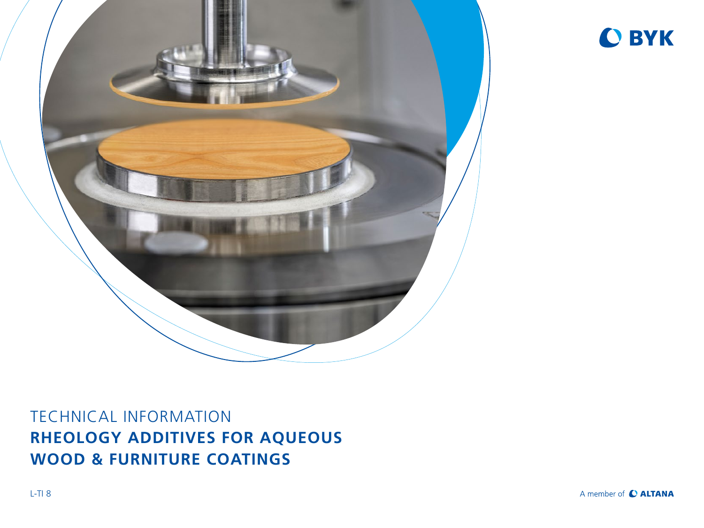



# TECHNICAL INFORMATION **RHEOLOGY ADDITIVES FOR AQUEOUS WOOD & FURNITURE COATINGS**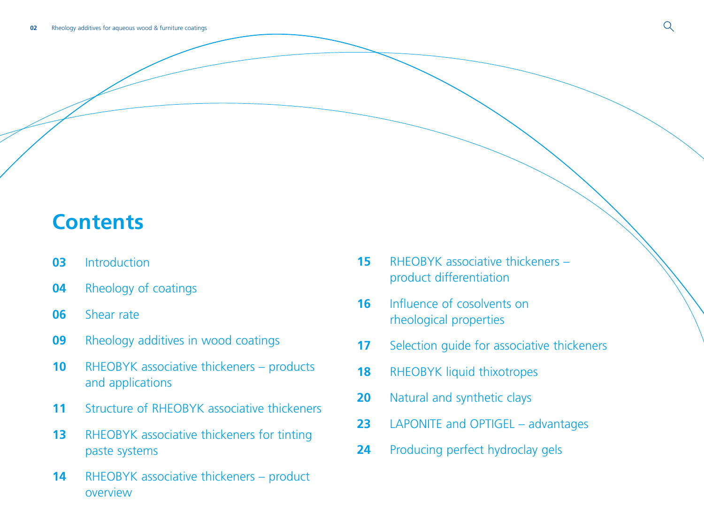# **Contents**

- [Introduction](#page-2-0)
- [Rheology of coatings](#page-3-0)
- [Shear rate](#page-5-0)
- [Rheology additives in wood coatings](#page-8-0)
- RHEOBYK associative thickeners products [and applications](#page-9-0)
- [Structure of RHEOBYK associative thickeners](#page-10-0)
- RHEOBYK associative thickeners for tinting [paste systems](#page-12-0)
- RHEOBYK associative thickeners product [overview](#page-13-0)
- [RHEOBYK associative thickeners](#page-14-0)  [product differentiation](#page-14-0)
- [Influence of cosolvents on](#page-15-0)  [rheological properties](#page-15-0)
- Selection quide for associative thickeners
- RHEOBYK liquid thixotropes
- Natural and synthetic clays
- [LAPONITE and OPTIGEL advantages](#page-22-0)
- [Producing perfect hydroclay gels](#page-23-0)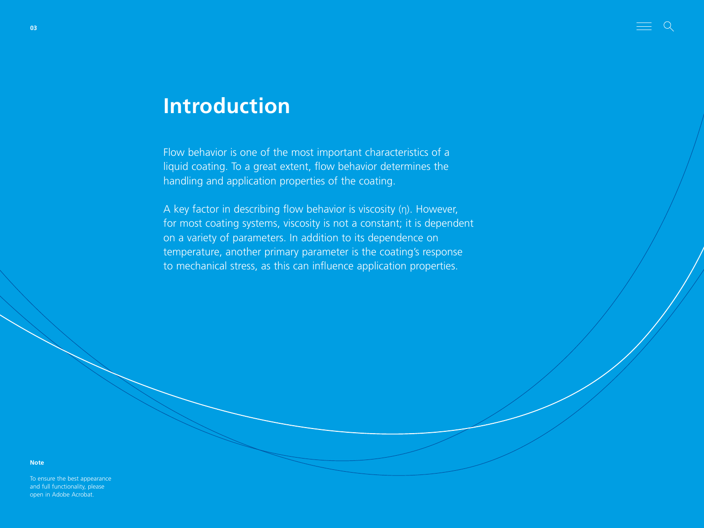# <span id="page-2-0"></span>**Introduction**

Flow behavior is one of the most important characteristics of a liquid coating. To a great extent, flow behavior determines the handling and application properties of the coating.

A key factor in describing flow behavior is viscosity (η). However, for most coating systems, viscosity is not a constant; it is dependent on a variety of parameters. In addition to its dependence on temperature, another primary parameter is the coating's response to mechanical stress, as this can influence application properties.

**Note**

To ensure the best appearance and full functionality, please open in Adobe Acrobat.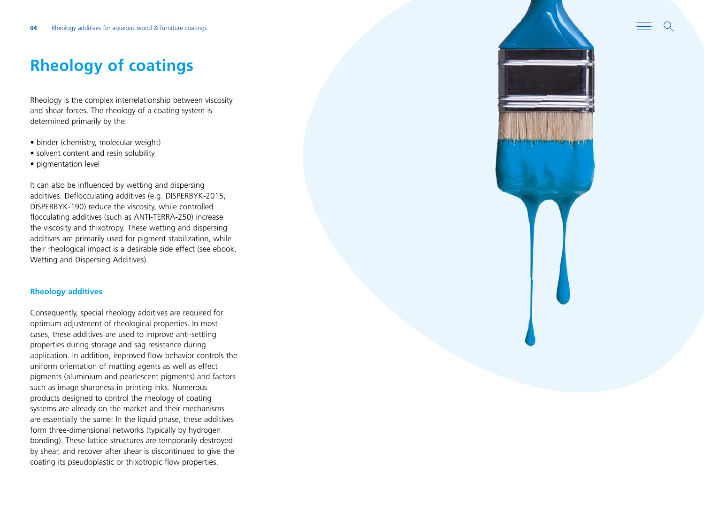# <span id="page-3-0"></span>**Rheology of coatings**

Rheology is the complex interrelationship between viscosity and shear forces. The rheology of a coating system is determined primarily by the:

- binder (chemistry, molecular weight)
- solvent content and resin solubility
- pigmentation level

It can also be influenced by wetting and dispersing additives. Deflocculating additives (e.g. DISPERBYK-2015, DISPERBYK-190) reduce the viscosity, while controlled flocculating additives (such as ANTI-TERRA-250) increase the viscosity and thixotropy. These wetting and dispersing additives are primarily used for pigment stabilization, while their rheological impact is a desirable side effect (see ebook, Wetting and Dispersing Additives).

### **Rheology additives**

Consequently, special rheology additives are required for optimum adjustment of rheological properties. In most cases, these additives are used to improve anti-settling properties during storage and sag resistance during application. In addition, improved flow behavior controls the uniform orientation of matting agents as well as effect pigments (aluminium and pearlescent pigments) and factors such as image sharpness in printing inks. Numerous products designed to control the rheology of coating systems are already on the market and their mechanisms are essentially the same: In the liquid phase, these additives form three-dimensional networks (typically by hydrogen bonding). These lattice structures are temporarily destroyed by shear, and recover after shear is discontinued to give the coating its pseudoplastic or thixotropic flow properties.

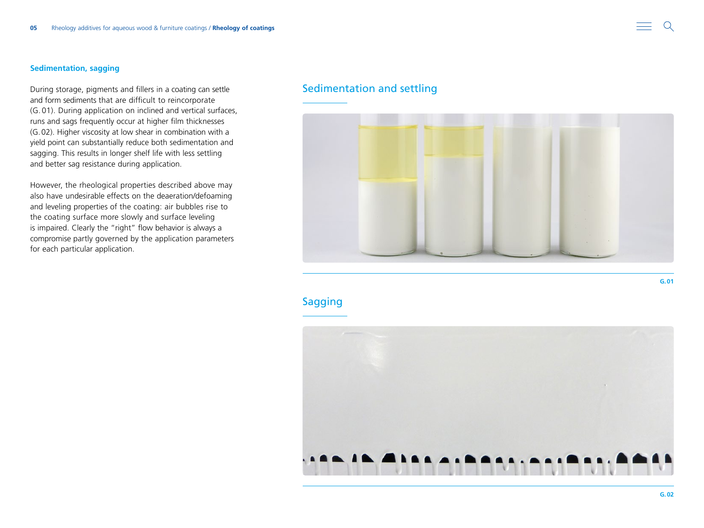### **Sedimentation, sagging**

During storage, pigments and fillers in a coating can settle and form sediments that are difficult to reincorporate (G. 01). During application on inclined and vertical surfaces, runs and sags frequently occur at higher film thicknesses (G.02). Higher viscosity at low shear in combination with a yield point can substantially reduce both sedimentation and sagging. This results in longer shelf life with less settling and better sag resistance during application.

However, the rheological properties described above may also have undesirable effects on the deaeration/defoaming and leveling properties of the coating: air bubbles rise to the coating surface more slowly and surface leveling is impaired. Clearly the "right" flow behavior is always a compromise partly governed by the application parameters for each particular application.

### Sedimentation and settling



**Sagging** 



**G.01**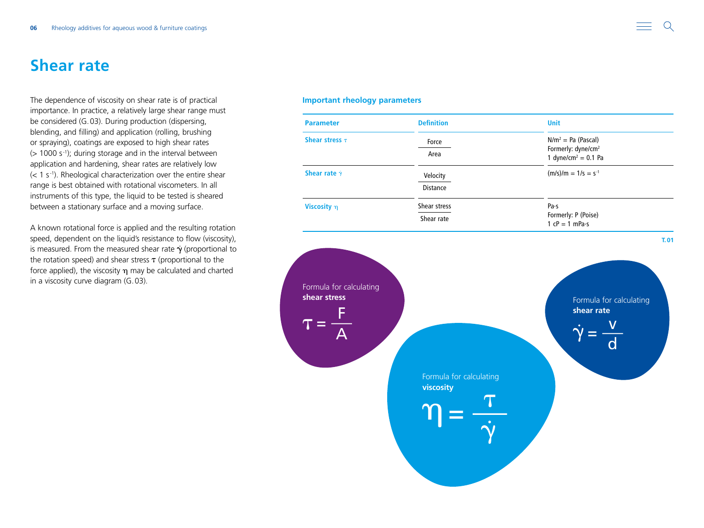## <span id="page-5-0"></span>**Shear rate**

The dependence of viscosity on shear rate is of practical importance. In practice, a relatively large shear range must be considered (G.03). During production (dispersing, blending, and filling) and application (rolling, brushing or spraying), coatings are exposed to high shear rates  $($  > 1000 s<sup>-1</sup>); during storage and in the interval between application and hardening, shear rates are relatively low  $(< 1 s<sup>-1</sup>)$ . Rheological characterization over the entire shear range is best obtained with rotational viscometers. In all instruments of this type, the liquid to be tested is sheared between a stationary surface and a moving surface.

A known rotational force is applied and the resulting rotation speed, dependent on the liquid's resistance to flow (viscosity), is measured. From the measured shear rate  $\dot{\gamma}$  (proportional to the rotation speed) and shear stress  $\tau$  (proportional to the force applied), the viscosity  $\eta$  may be calculated and charted in a viscosity curve diagram (G.03).

### **Important rheology parameters**

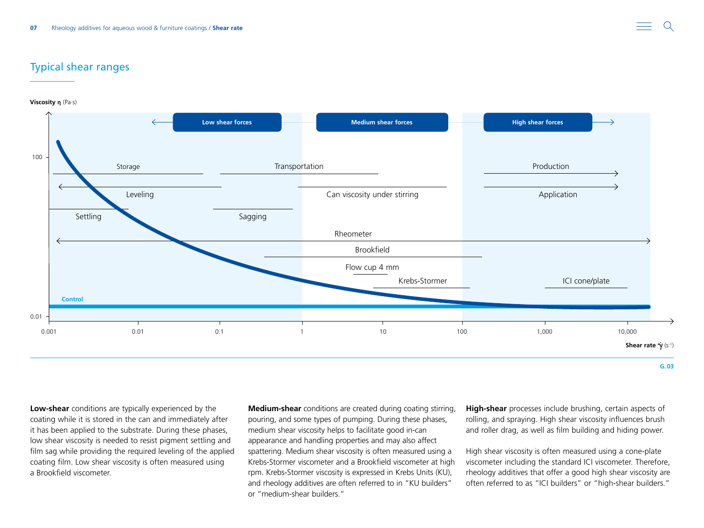### Typical shear ranges

**Viscosity η** (Pa·s)



**Low-shear** conditions are typically experienced by the coating while it is stored in the can and immediately after it has been applied to the substrate. During these phases, low shear viscosity is needed to resist pigment settling and film sag while providing the required leveling of the applied coating film. Low shear viscosity is often measured using a Brookfield viscometer.

**Medium-shear** conditions are created during coating stirring, pouring, and some types of pumping. During these phases, medium shear viscosity helps to facilitate good in-can appearance and handling properties and may also affect spattering. Medium shear viscosity is often measured using a Krebs-Stormer viscometer and a Brookfield viscometer at high rpm. Krebs-Stormer viscosity is expressed in Krebs Units (KU), and rheology additives are often referred to in "KU builders" or "medium-shear builders."

**High-shear** processes include brushing, certain aspects of rolling, and spraying. High shear viscosity influences brush and roller drag, as well as film building and hiding power.

High shear viscosity is often measured using a cone-plate viscometer including the standard ICI viscometer. Therefore, rheology additives that offer a good high shear viscosity are often referred to as "ICI builders" or "high-shear builders."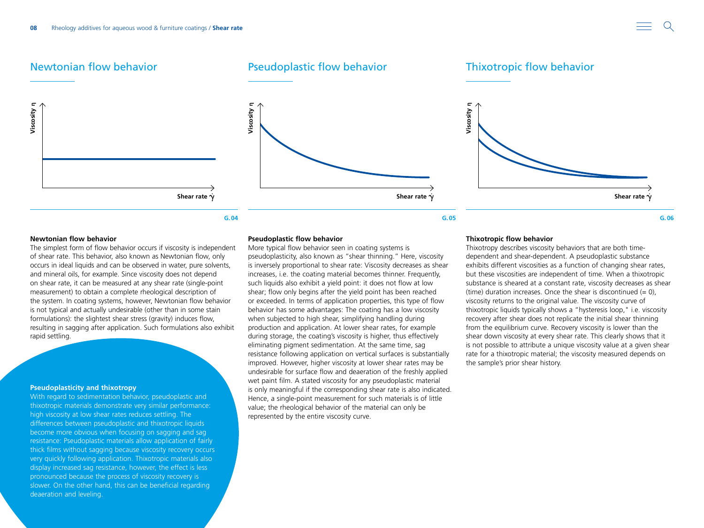







#### **Newtonian flow behavior**

**Viscosity η**

Viscosity **n** 

The simplest form of flow behavior occurs if viscosity is independent of shear rate. This behavior, also known as Newtonian flow, only occurs in ideal liquids and can be observed in water, pure solvents, and mineral oils, for example. Since viscosity does not depend on shear rate, it can be measured at any shear rate (single-point measurement) to obtain a complete rheological description of the system. In coating systems, however, Newtonian flow behavior is not typical and actually undesirable (other than in some stain formulations): the slightest shear stress (gravity) induces flow, resulting in sagging after application. Such formulations also exhibit rapid settling.

#### **Pseudoplasticity and thixotropy**

With regard to sedimentation behavior, pseudoplastic and thixotropic materials demonstrate very similar performance: high viscosity at low shear rates reduces settling. The differences between pseudoplastic and thixotropic liquids become more obvious when focusing on sagging and sag resistance: Pseudoplastic materials allow application of fairly thick films without sagging because viscosity recovery occurs very quickly following application. Thixotropic materials also display increased sag resistance, however, the effect is less pronounced because the process of viscosity recovery is slower. On the other hand, this can be beneficial regarding deaeration and leveling.

#### **Pseudoplastic flow behavior**

More typical flow behavior seen in coating systems is pseudoplasticity, also known as "shear thinning." Here, viscosity is inversely proportional to shear rate: Viscosity decreases as shear increases, i.e. the coating material becomes thinner. Frequently, such liquids also exhibit a yield point: it does not flow at low shear; flow only begins after the yield point has been reached or exceeded. In terms of application properties, this type of flow behavior has some advantages: The coating has a low viscosity when subjected to high shear, simplifying handling during production and application. At lower shear rates, for example during storage, the coating's viscosity is higher, thus effectively eliminating pigment sedimentation. At the same time, sag resistance following application on vertical surfaces is substantially improved. However, higher viscosity at lower shear rates may be undesirable for surface flow and deaeration of the freshly applied wet paint film. A stated viscosity for any pseudoplastic material is only meaningful if the corresponding shear rate is also indicated. Hence, a single-point measurement for such materials is of little value; the rheological behavior of the material can only be represented by the entire viscosity curve.

#### **Thixotropic flow behavior**

Thixotropy describes viscosity behaviors that are both timedependent and shear-dependent. A pseudoplastic substance exhibits different viscosities as a function of changing shear rates, but these viscosities are independent of time. When a thixotropic substance is sheared at a constant rate, viscosity decreases as shear (time) duration increases. Once the shear is discontinued  $(= 0)$ , viscosity returns to the original value. The viscosity curve of thixotropic liquids typically shows a "hysteresis loop," i.e. viscosity recovery after shear does not replicate the initial shear thinning from the equilibrium curve. Recovery viscosity is lower than the shear down viscosity at every shear rate. This clearly shows that it is not possible to attribute a unique viscosity value at a given shear rate for a thixotropic material; the viscosity measured depends on the sample's prior shear history.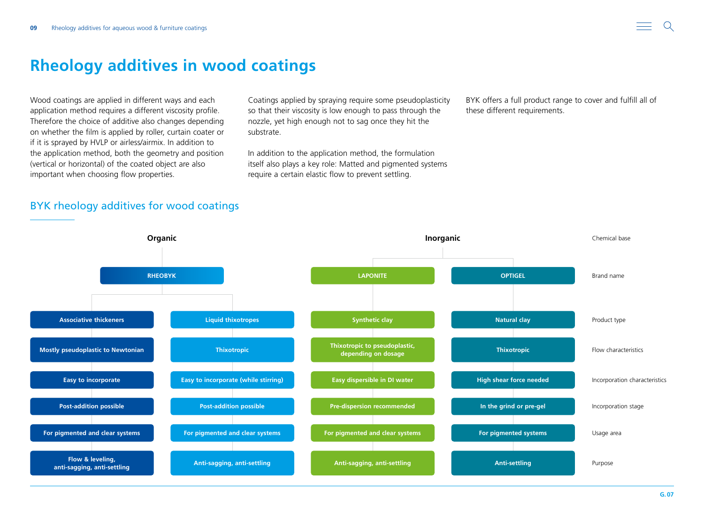## <span id="page-8-0"></span>**Rheology additives in wood coatings**

Wood coatings are applied in different ways and each application method requires a different viscosity profile. Therefore the choice of additive also changes depending on whether the film is applied by roller, curtain coater or if it is sprayed by HVLP or airless/airmix. In addition to the application method, both the geometry and position (vertical or horizontal) of the coated object are also important when choosing flow properties.

Coatings applied by spraying require some pseudoplasticity so that their viscosity is low enough to pass through the nozzle, yet high enough not to sag once they hit the substrate.

In addition to the application method, the formulation itself also plays a key role: Matted and pigmented systems require a certain elastic flow to prevent settling.

BYK offers a full product range to cover and fulfill all of these different requirements.

## BYK rheology additives for wood coatings

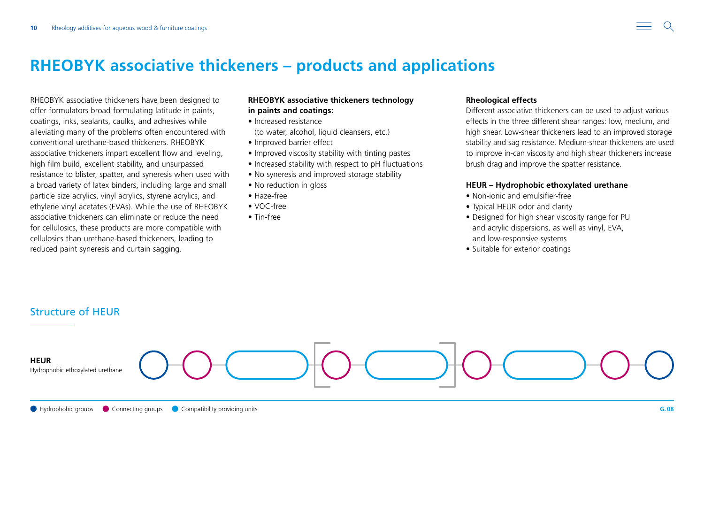## <span id="page-9-0"></span>**RHEOBYK associative thickeners – products and applications**

RHEOBYK associative thickeners have been designed to offer formulators broad formulating latitude in paints, coatings, inks, sealants, caulks, and adhesives while alleviating many of the problems often encountered with conventional urethane-based thickeners. RHEOBYK associative thickeners impart excellent flow and leveling, high film build, excellent stability, and unsurpassed resistance to blister, spatter, and syneresis when used with a broad variety of latex binders, including large and small particle size acrylics, vinyl acrylics, styrene acrylics, and ethylene vinyl acetates (EVAs). While the use of RHEOBYK associative thickeners can eliminate or reduce the need for cellulosics, these products are more compatible with cellulosics than urethane-based thickeners, leading to reduced paint syneresis and curtain sagging.

### **RHEOBYK associative thickeners technology in paints and coatings:**

- Increased resistance
- (to water, alcohol, liquid cleansers, etc.)
- Improved barrier effect
- Improved viscosity stability with tinting pastes
- Increased stability with respect to pH fluctuations
- No syneresis and improved storage stability
- No reduction in gloss
- Haze-free
- VOC-free
- Tin-free

### **Rheological effects**

Different associative thickeners can be used to adjust various effects in the three different shear ranges: low, medium, and high shear. Low-shear thickeners lead to an improved storage stability and sag resistance. Medium-shear thickeners are used to improve in-can viscosity and high shear thickeners increase brush drag and improve the spatter resistance.

### **HEUR – Hydrophobic ethoxylated urethane**

- Non-ionic and emulsifier-free
- Typical HEUR odor and clarity
- Designed for high shear viscosity range for PU and acrylic dispersions, as well as vinyl, EVA, and low-responsive systems
- Suitable for exterior coatings

## Structure of HEUR

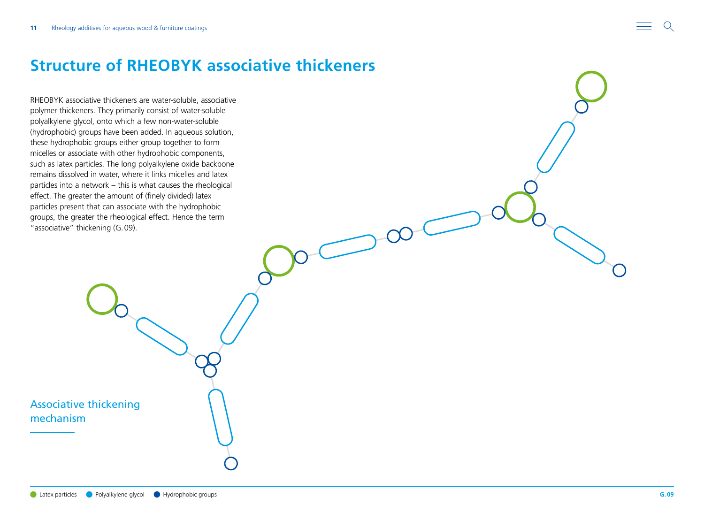## <span id="page-10-0"></span>**Structure of RHEOBYK associative thickeners**

RHEOBYK associative thickeners are water-soluble, associative polymer thickeners. They primarily consist of water-soluble polyalkylene glycol, onto which a few non-water-soluble (hydrophobic) groups have been added. In aqueous solution, these hydrophobic groups either group together to form micelles or associate with other hydrophobic components, such as latex particles. The long polyalkylene oxide backbone remains dissolved in water, where it links micelles and latex particles into a network – this is what causes the rheological effect. The greater the amount of (finely divided) latex particles present that can associate with the hydrophobic groups, the greater the rheological effect. Hence the term "associative" thickening (G.09).

Associative thickening mechanism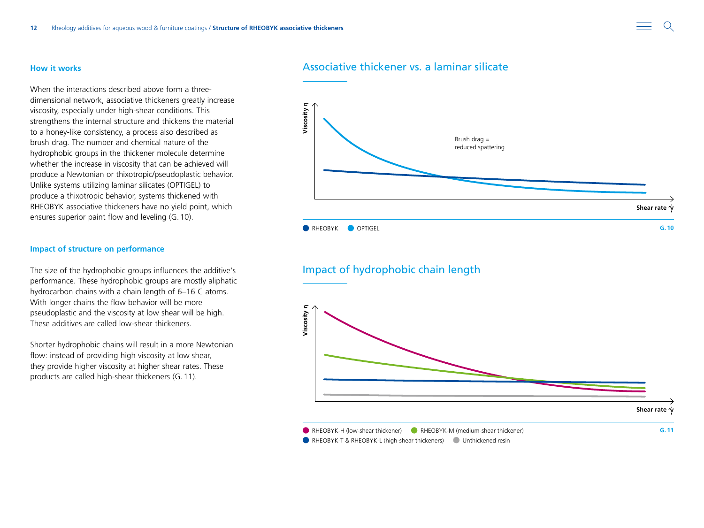#### **How it works**

When the interactions described above form a threedimensional network, associative thickeners greatly increase viscosity, especially under high-shear conditions. This strengthens the internal structure and thickens the material to a honey-like consistency, a process also described as brush drag. The number and chemical nature of the hydrophobic groups in the thickener molecule determine whether the increase in viscosity that can be achieved will produce a Newtonian or thixotropic/pseudoplastic behavior. Unlike systems utilizing laminar silicates (OPTIGEL) to produce a thixotropic behavior, systems thickened with RHEOBYK associative thickeners have no yield point, which ensures superior paint flow and leveling (G.10).

#### **Impact of structure on performance**

The size of the hydrophobic groups influences the additive's performance. These hydrophobic groups are mostly aliphatic hydrocarbon chains with a chain length of 6–16 C atoms. With longer chains the flow behavior will be more pseudoplastic and the viscosity at low shear will be high. These additives are called low-shear thickeners.

Shorter hydrophobic chains will result in a more Newtonian flow: instead of providing high viscosity at low shear, they provide higher viscosity at higher shear rates. These products are called high-shear thickeners (G.11).

### Associative thickener vs. a laminar silicate



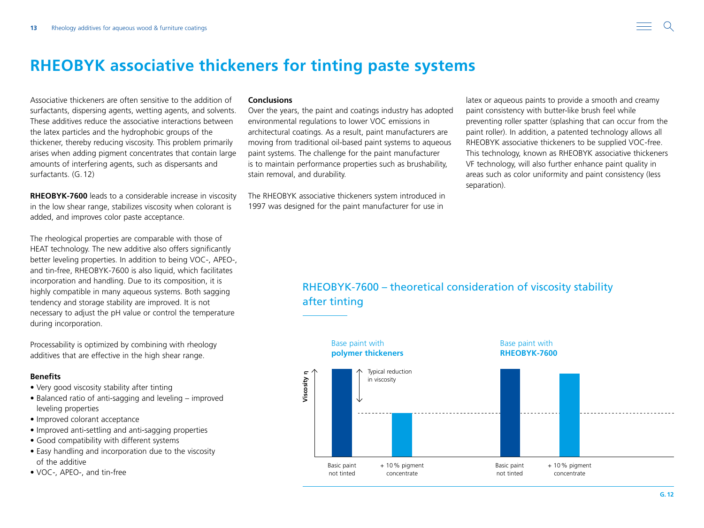## <span id="page-12-0"></span>**RHEOBYK associative thickeners for tinting paste systems**

Associative thickeners are often sensitive to the addition of surfactants, dispersing agents, wetting agents, and solvents. These additives reduce the associative interactions between the latex particles and the hydrophobic groups of the thickener, thereby reducing viscosity. This problem primarily arises when adding pigment concentrates that contain large amounts of interfering agents, such as dispersants and surfactants. (G.12)

**RHEOBYK-7600** leads to a considerable increase in viscosity in the low shear range, stabilizes viscosity when colorant is added, and improves color paste acceptance.

The rheological properties are comparable with those of HEAT technology. The new additive also offers significantly better leveling properties. In addition to being VOC-, APEO-, and tin-free, RHEOBYK-7600 is also liquid, which facilitates incorporation and handling. Due to its composition, it is highly compatible in many aqueous systems. Both sagging tendency and storage stability are improved. It is not necessary to adjust the pH value or control the temperature during incorporation.

Processability is optimized by combining with rheology additives that are effective in the high shear range.

### **Benefits**

- Very good viscosity stability after tinting
- Balanced ratio of anti-sagging and leveling improved leveling properties
- Improved colorant acceptance
- Improved anti-settling and anti-sagging properties
- Good compatibility with different systems
- Easy handling and incorporation due to the viscosity of the additive
- VOC-, APEO-, and tin-free

#### **Conclusions**

Over the years, the paint and coatings industry has adopted environmental regulations to lower VOC emissions in architectural coatings. As a result, paint manufacturers are moving from traditional oil-based paint systems to aqueous paint systems. The challenge for the paint manufacturer is to maintain performance properties such as brushability, stain removal, and durability.

The RHEOBYK associative thickeners system introduced in 1997 was designed for the paint manufacturer for use in

latex or aqueous paints to provide a smooth and creamy paint consistency with butter-like brush feel while preventing roller spatter (splashing that can occur from the paint roller). In addition, a patented technology allows all RHEOBYK associative thickeners to be supplied VOC-free. This technology, known as RHEOBYK associative thickeners VF technology, will also further enhance paint quality in areas such as color uniformity and paint consistency (Iess separation).

## RHEOBYK-7600 – theoretical consideration of viscosity stability after tinting

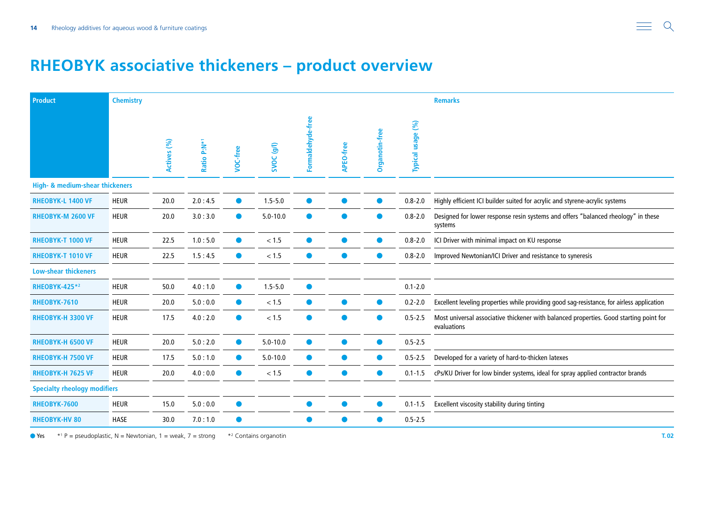## <span id="page-13-0"></span>**RHEOBYK associative thickeners – product overview**

| <b>Product</b>                      | <b>Chemistry</b> |             | <b>Remarks</b> |           |                       |                   |           |                |                   |                                                                                                       |
|-------------------------------------|------------------|-------------|----------------|-----------|-----------------------|-------------------|-----------|----------------|-------------------|-------------------------------------------------------------------------------------------------------|
|                                     |                  | Actives (%) | Ratio P:N*1    | VOC-free  | SVOC <sub>(g/l)</sub> | Formaldehyde-free | APEO-free | Organotin-free | Typical usage (%) |                                                                                                       |
| High- & medium-shear thickeners     |                  |             |                |           |                       |                   |           |                |                   |                                                                                                       |
| <b>RHEOBYK-L 1400 VF</b>            | <b>HEUR</b>      | 20.0        | 2.0:4.5        | $\bullet$ | $1.5 - 5.0$           | $\bullet$         | $\bullet$ | $\bullet$      | $0.8 - 2.0$       | Highly efficient ICI builder suited for acrylic and styrene-acrylic systems                           |
| RHEOBYK-M 2600 VF                   | <b>HEUR</b>      | 20.0        | 3.0:3.0        |           | $5.0 - 10.0$          | $\bullet$         | $\bullet$ | $\bullet$      | $0.8 - 2.0$       | Designed for lower response resin systems and offers "balanced rheology" in these<br>systems          |
| <b>RHEOBYK-T 1000 VF</b>            | <b>HEUR</b>      | 22.5        | 1.0:5.0        |           | $<1.5$                | $\bullet$         | $\bullet$ | $\bullet$      | $0.8 - 2.0$       | ICI Driver with minimal impact on KU response                                                         |
| <b>RHEOBYK-T 1010 VF</b>            | <b>HEUR</b>      | 22.5        | 1.5:4.5        | $\bullet$ | < 1.5                 | $\bullet$         | $\bullet$ | $\bullet$      | $0.8 - 2.0$       | Improved Newtonian/ICI Driver and resistance to syneresis                                             |
| <b>Low-shear thickeners</b>         |                  |             |                |           |                       |                   |           |                |                   |                                                                                                       |
| <b>RHEOBYK-425*2</b>                | <b>HEUR</b>      | 50.0        | 4.0:1.0        | $\bullet$ | $1.5 - 5.0$           | $\bullet$         |           |                | $0.1 - 2.0$       |                                                                                                       |
| RHEOBYK-7610                        | <b>HEUR</b>      | 20.0        | 5.0:0.0        | $\bullet$ | < 1.5                 | $\bullet$         |           | $\bullet$      | $0.2 - 2.0$       | Excellent leveling properties while providing good sag-resistance, for airless application            |
| RHEOBYK-H 3300 VF                   | <b>HEUR</b>      | 17.5        | 4.0:2.0        | $\bullet$ | < 1.5                 | $\bullet$         | $\bullet$ | $\bullet$      | $0.5 - 2.5$       | Most universal associative thickener with balanced properties. Good starting point for<br>evaluations |
| <b>RHEOBYK-H 6500 VF</b>            | <b>HEUR</b>      | 20.0        | 5.0:2.0        | $\bullet$ | $5.0 - 10.0$          | $\bullet$         | $\bullet$ | $\bullet$      | $0.5 - 2.5$       |                                                                                                       |
| <b>RHEOBYK-H 7500 VF</b>            | <b>HEUR</b>      | 17.5        | 5.0:1.0        | $\bullet$ | $5.0 - 10.0$          | $\bullet$         | $\bullet$ | $\bullet$      | $0.5 - 2.5$       | Developed for a variety of hard-to-thicken latexes                                                    |
| <b>RHEOBYK-H 7625 VF</b>            | <b>HEUR</b>      | 20.0        | 4.0:0.0        | $\bullet$ | < 1.5                 | $\bullet$         | $\bullet$ | $\bullet$      | $0.1 - 1.5$       | cPs/KU Driver for low binder systems, ideal for spray applied contractor brands                       |
| <b>Specialty rheology modifiers</b> |                  |             |                |           |                       |                   |           |                |                   |                                                                                                       |
| RHEOBYK-7600                        | <b>HEUR</b>      | 15.0        | 5.0:0.0        | $\bullet$ |                       | $\bullet$         | $\bullet$ | $\bullet$      | $0.1 - 1.5$       | Excellent viscosity stability during tinting                                                          |
| <b>RHEOBYK-HV 80</b>                | <b>HASE</b>      | 30.0        | 7.0:1.0        |           |                       | $\bullet$         | $\bullet$ | $\bullet$      | $0.5 - 2.5$       |                                                                                                       |

Yes  $*^1 P$  = pseudoplastic, N = Newtonian, 1 = weak, 7 = strong  $*^2$  Contains organotin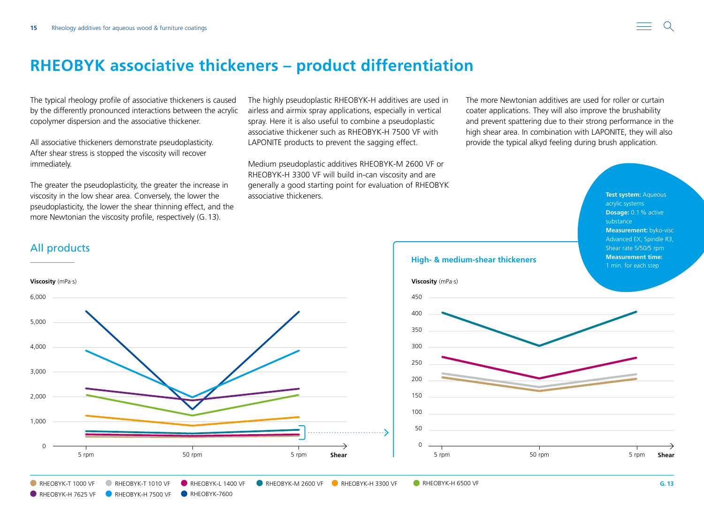## <span id="page-14-0"></span>**RHEOBYK associative thickeners – product differentiation**

The typical rheology profile of associative thickeners is caused by the differently pronounced interactions between the acrylic copolymer dispersion and the associative thickener.

All associative thickeners demonstrate pseudoplasticity. After shear stress is stopped the viscosity will recover immediately.

The greater the pseudoplasticity, the greater the increase in viscosity in the low shear area. Conversely, the lower the pseudoplasticity, the lower the shear thinning effect, and the more Newtonian the viscosity profile, respectively (G.13).

RHEOBYK-H 7625 VF RHEOBYK-H 7500 VF RHEOBYK-7600

The highly pseudoplastic RHEOBYK-H additives are used in airless and airmix spray applications, especially in vertical spray. Here it is also useful to combine a pseudoplastic associative thickener such as RHEOBYK-H 7500 VF with LAPONITE products to prevent the sagging effect.

Medium pseudoplastic additives RHEOBYK-M 2600 VF or

The more Newtonian additives are used for roller or curtain coater applications. They will also improve the brushability and prevent spattering due to their strong performance in the high shear area. In combination with LAPONITE, they will also provide the typical alkyd feeling during brush application.



## All products



■ RHEOBYK-T 1000 VF ■ RHEOBYK-T 1010 VF ■ RHEOBYK-L 1400 VF ■ RHEOBYK-M 2600 VF ■ RHEOBYK-H 3300 VF ■ RHEOBYK-H 6500 VF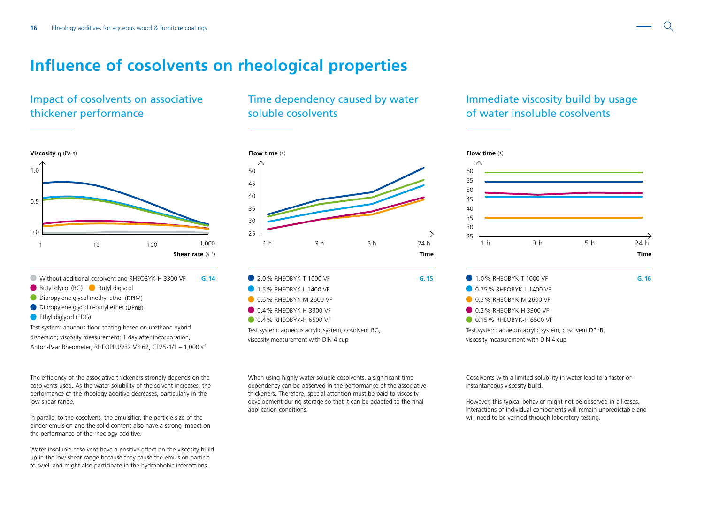## <span id="page-15-0"></span>**Influence of cosolvents on rheological properties**

## Impact of cosolvents on associative thickener performance



- Without additional cosolvent and RHEOBYK-H 3300 VF
- Butyl glycol (BG) Butyl diglycol
- Dipropylene glycol methyl ether (DPIM)
- Dipropylene glycol n-butyl ether (DPnB)
- **C** Ethyl diglycol (EDG)

Test system: aqueous floor coating based on urethane hybrid dispersion; viscosity measurement: 1 day after incorporation, Anton-Paar Rheometer; RHEOPLUS/32 V3.62, CP25-1/1 – 1,000 s-1

The efficiency of the associative thickeners strongly depends on the cosolvents used. As the water solubility of the solvent increases, the performance of the rheology additive decreases, particularly in the low shear range.

In parallel to the cosolvent, the emulsifier, the particle size of the binder emulsion and the solid content also have a strong impact on the performance of the rheology additive.

Water insoluble cosolvent have a positive effect on the viscosity build up in the low shear range because they cause the emulsion particle to swell and might also participate in the hydrophobic interactions.

## Time dependency caused by water soluble cosolvents



| 2.0% RHEOBYK-T 1000 VF |  | G.15 |
|------------------------|--|------|
| 1.5% RHEOBYK-L 1400 VF |  |      |
| 0.6% RHEOBYK-M 2600 VF |  |      |
| 0.4% RHEOBYK-H 3300 VF |  |      |
| 0.4% RHEOBYK-H 6500 VF |  |      |
|                        |  |      |

Test system: aqueous acrylic system, cosolvent BG, viscosity measurement with DIN 4 cup

When using highly water-soluble cosolvents, a significant time dependency can be observed in the performance of the associative thickeners. Therefore, special attention must be paid to viscosity development during storage so that it can be adapted to the final application conditions.

## Immediate viscosity build by usage of water insoluble cosolvents



Cosolvents with a limited solubility in water lead to a faster or instantaneous viscosity build.

However, this typical behavior might not be observed in all cases. Interactions of individual components will remain unpredictable and will need to be verified through laboratory testing.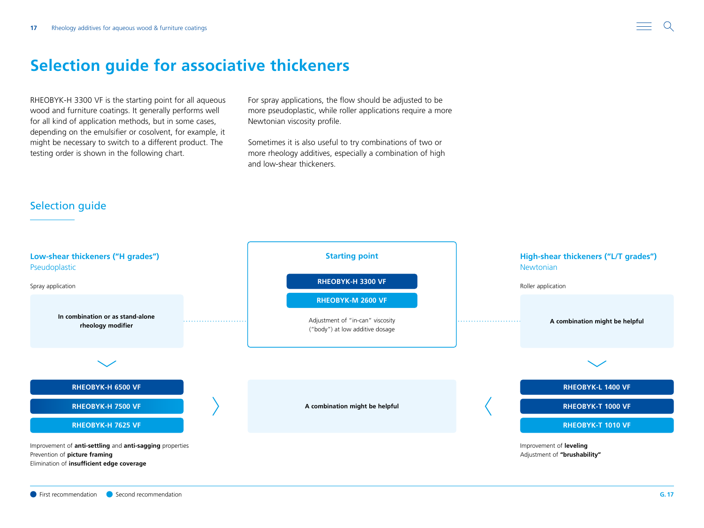## <span id="page-16-0"></span>**Selection guide for associative thickeners**

RHEOBYK-H 3300 VF is the starting point for all aqueous wood and furniture coatings. It generally performs well for all kind of application methods, but in some cases, depending on the emulsifier or cosolvent, for example, it might be necessary to switch to a different product. The testing order is shown in the following chart.

For spray applications, the flow should be adjusted to be more pseudoplastic, while roller applications require a more Newtonian viscosity profile.

Sometimes it is also useful to try combinations of two or more rheology additives, especially a combination of high and low-shear thickeners.

## Selection guide

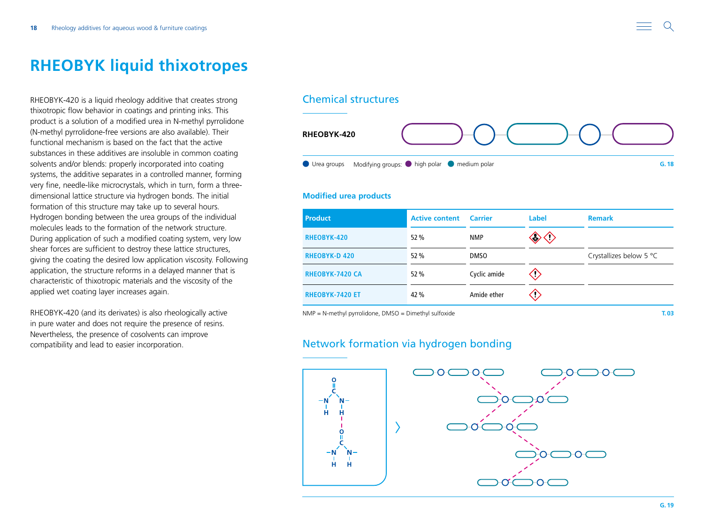## <span id="page-17-0"></span>**RHEOBYK liquid thixotropes**

RHEOBYK-420 is a liquid rheology additive that creates strong thixotropic flow behavior in coatings and printing inks. This product is a solution of a modified urea in N-methyl pyrrolidone (N-methyl pyrrolidone-free versions are also available). Their functional mechanism is based on the fact that the active substances in these additives are insoluble in common coating solvents and/or blends: properly incorporated into coating systems, the additive separates in a controlled manner, forming very fine, needle-like microcrystals, which in turn, form a threedimensional lattice structure via hydrogen bonds. The initial formation of this structure may take up to several hours. Hydrogen bonding between the urea groups of the individual molecules leads to the formation of the network structure. During application of such a modified coating system, very low shear forces are sufficient to destroy these lattice structures, giving the coating the desired low application viscosity. Following application, the structure reforms in a delayed manner that is characteristic of thixotropic materials and the viscosity of the applied wet coating layer increases again.

RHEOBYK-420 (and its derivates) is also rheologically active in pure water and does not require the presence of resins. Nevertheless, the presence of cosolvents can improve compatibility and lead to easier incorporation.

### Chemical structures



### **Modified urea products**

| <b>Product</b>         | <b>Active content Carrier</b> |              | Label | <b>Remark</b>           |
|------------------------|-------------------------------|--------------|-------|-------------------------|
| <b>RHEOBYK-420</b>     | 52 %                          | <b>NMP</b>   | چې    |                         |
| <b>RHEOBYK-D 420</b>   | 52 %                          | <b>DMSO</b>  |       | Crystallizes below 5 °C |
| <b>RHEOBYK-7420 CA</b> | 52 %                          | Cyclic amide |       |                         |
| <b>RHEOBYK-7420 ET</b> | 42 %                          | Amide ether  |       |                         |

NMP = N-methyl pyrrolidone, DMSO = Dimethyl sulfoxide **T.03**

### Network formation via hydrogen bonding

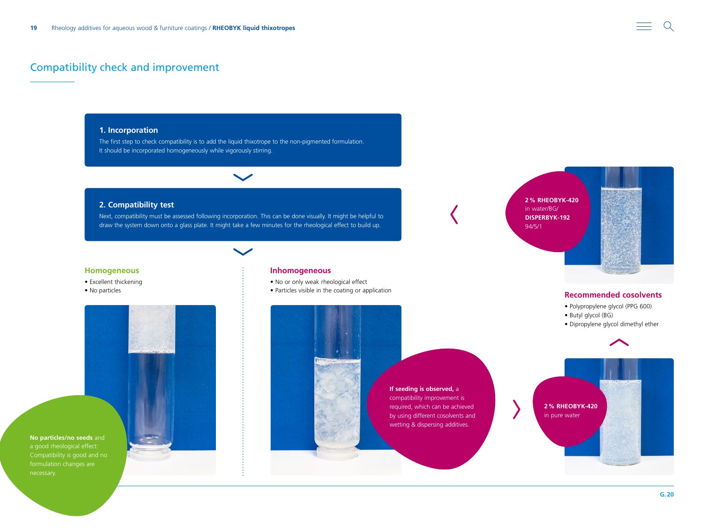### Compatibility check and improvement

### **1. Incorporation**

The first step to check compatibility is to add the liquid thixotrope to the non-pigmented formulation. It should be incorporated homogeneously while vigorously stirring.



Next, compatibility must be assessed following incorporation. This can be done visually. It might be helpful to draw the system down onto a glass plate. It might take a few minutes for the rheological effect to build up.

 $\checkmark$ 

#### **Homogeneous**

- Excellent thickening
- No particles



a good rheological effect:

#### **Inhomogeneous**

- No or only weak rheological effect
- Particles visible in the coating or application





### **Recommended cosolvents**

- Polypropylene glycol (PPG 600)
- 
- Dipropylene glycol dimethyl ether



 $\Omega$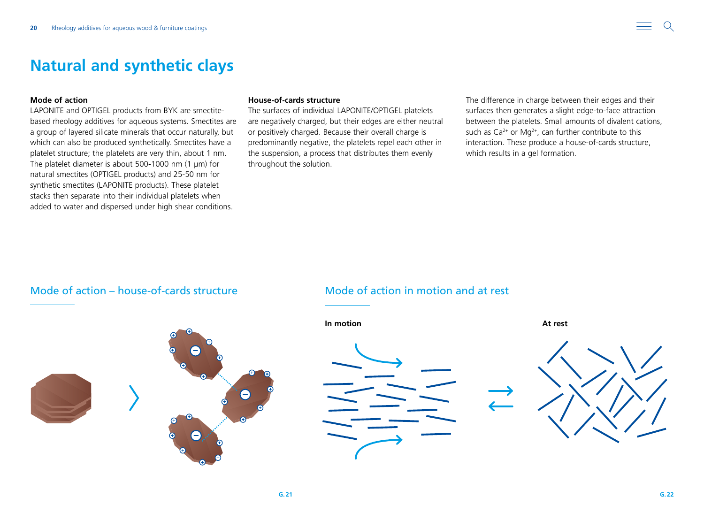## <span id="page-19-0"></span>**Natural and synthetic clays**

### **Mode of action**

LAPONITE and OPTIGEL products from BYK are smectitebased rheology additives for aqueous systems. Smectites are a group of layered silicate minerals that occur naturally, but which can also be produced synthetically. Smectites have a platelet structure; the platelets are very thin, about 1 nm. The platelet diameter is about 500-1000 nm (1 μm) for natural smectites (OPTIGEL products) and 25-50 nm for synthetic smectites (LAPONITE products). These platelet stacks then separate into their individual platelets when added to water and dispersed under high shear conditions.

### **House-of-cards structure**

The surfaces of individual LAPONITE/OPTIGEL platelets are negatively charged, but their edges are either neutral or positively charged. Because their overall charge is predominantly negative, the platelets repel each other in the suspension, a process that distributes them evenly throughout the solution.

The difference in charge between their edges and their surfaces then generates a slight edge-to-face attraction between the platelets. Small amounts of divalent cations, such as  $Ca^{2+}$  or Mg<sup>2+</sup>, can further contribute to this interaction. These produce a house-of-cards structure, which results in a gel formation.

### Mode of action – house-of-cards structure Mode of action in motion and at rest







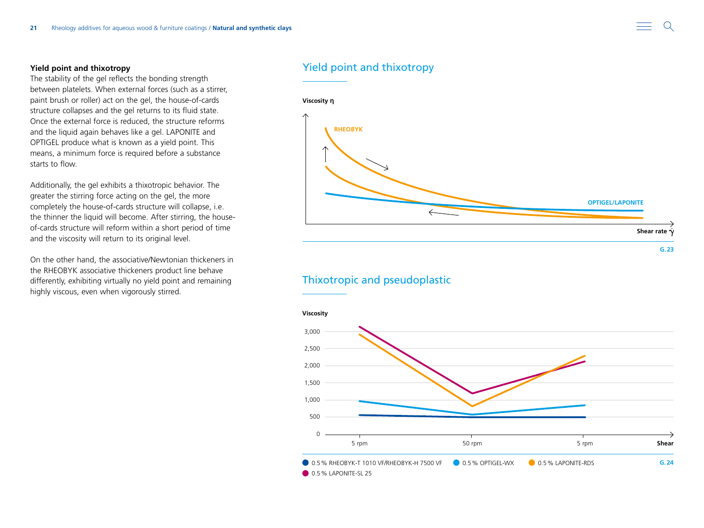### **Yield point and thixotropy**

The stability of the gel reflects the bonding strength between platelets. When external forces (such as a stirrer, paint brush or roller) act on the gel, the house-of-cards structure collapses and the gel returns to its fluid state. Once the external force is reduced, the structure reforms and the liquid again behaves like a gel. LAPONITE and OPTIGEL produce what is known as a yield point. This means, a minimum force is required before a substance starts to flow.

Additionally, the gel exhibits a thixotropic behavior. The greater the stirring force acting on the gel, the more completely the house-of-cards structure will collapse, i.e. the thinner the liquid will become. After stirring, the houseof-cards structure will reform within a short period of time and the viscosity will return to its original level.

On the other hand, the associative/Newtonian thickeners in the RHEOBYK associative thickeners product line behave differently, exhibiting virtually no yield point and remaining highly viscous, even when vigorously stirred.

### Yield point and thixotropy



### Thixotropic and pseudoplastic

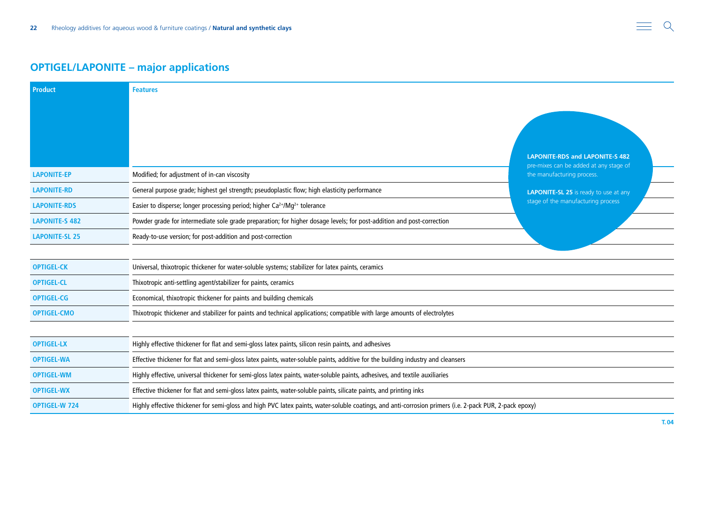## **OPTIGEL/LAPONITE – major applications**

| <b>Product</b>        | <b>Features</b>                                                                                                                                         |                                                                      |  |  |  |  |
|-----------------------|---------------------------------------------------------------------------------------------------------------------------------------------------------|----------------------------------------------------------------------|--|--|--|--|
|                       |                                                                                                                                                         |                                                                      |  |  |  |  |
|                       |                                                                                                                                                         |                                                                      |  |  |  |  |
|                       |                                                                                                                                                         |                                                                      |  |  |  |  |
|                       |                                                                                                                                                         | <b>LAPONITE-RDS and LAPONITE-S 482</b>                               |  |  |  |  |
| <b>LAPONITE-EP</b>    | Modified; for adjustment of in-can viscosity                                                                                                            | pre-mixes can be added at any stage of<br>the manufacturing process. |  |  |  |  |
| <b>LAPONITE-RD</b>    | General purpose grade; highest gel strength; pseudoplastic flow; high elasticity performance                                                            | <b>LAPONITE-SL 25</b> is ready to use at any                         |  |  |  |  |
| <b>LAPONITE-RDS</b>   | stage of the manufacturing process<br>Easier to disperse; longer processing period; higher Ca <sup>2+</sup> /Mg <sup>2+</sup> tolerance                 |                                                                      |  |  |  |  |
| <b>LAPONITE-S 482</b> | Powder grade for intermediate sole grade preparation; for higher dosage levels; for post-addition and post-correction                                   |                                                                      |  |  |  |  |
| <b>LAPONITE-SL 25</b> | Ready-to-use version; for post-addition and post-correction                                                                                             |                                                                      |  |  |  |  |
|                       |                                                                                                                                                         |                                                                      |  |  |  |  |
| <b>OPTIGEL-CK</b>     | Universal, thixotropic thickener for water-soluble systems; stabilizer for latex paints, ceramics                                                       |                                                                      |  |  |  |  |
| <b>OPTIGEL-CL</b>     | Thixotropic anti-settling agent/stabilizer for paints, ceramics                                                                                         |                                                                      |  |  |  |  |
| <b>OPTIGEL-CG</b>     | Economical, thixotropic thickener for paints and building chemicals                                                                                     |                                                                      |  |  |  |  |
| <b>OPTIGEL-CMO</b>    | Thixotropic thickener and stabilizer for paints and technical applications; compatible with large amounts of electrolytes                               |                                                                      |  |  |  |  |
|                       |                                                                                                                                                         |                                                                      |  |  |  |  |
| <b>OPTIGEL-LX</b>     | Highly effective thickener for flat and semi-gloss latex paints, silicon resin paints, and adhesives                                                    |                                                                      |  |  |  |  |
| <b>OPTIGEL-WA</b>     | Effective thickener for flat and semi-gloss latex paints, water-soluble paints, additive for the building industry and cleansers                        |                                                                      |  |  |  |  |
| <b>OPTIGEL-WM</b>     | Highly effective, universal thickener for semi-gloss latex paints, water-soluble paints, adhesives, and textile auxiliaries                             |                                                                      |  |  |  |  |
| <b>OPTIGEL-WX</b>     | Effective thickener for flat and semi-gloss latex paints, water-soluble paints, silicate paints, and printing inks                                      |                                                                      |  |  |  |  |
| <b>OPTIGEL-W 724</b>  | Highly effective thickener for semi-gloss and high PVC latex paints, water-soluble coatings, and anti-corrosion primers (i.e. 2-pack PUR, 2-pack epoxy) |                                                                      |  |  |  |  |

 $Q$  $\equiv$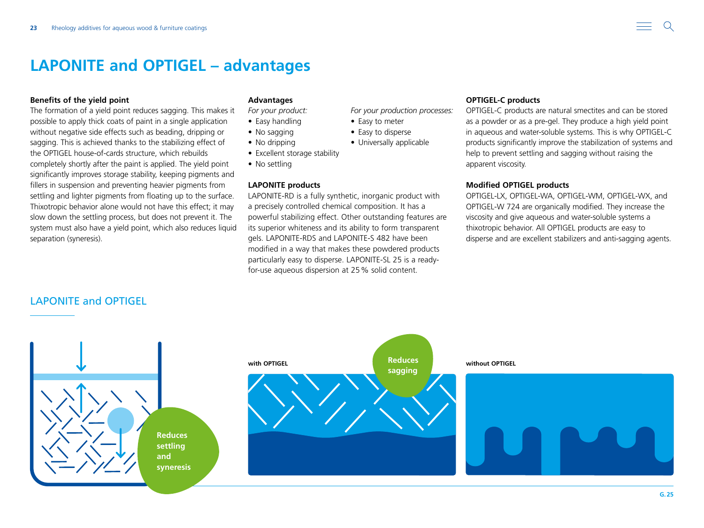### <span id="page-22-0"></span>**Benefits of the yield point**

The formation of a yield point reduces sagging. This makes it possible to apply thick coats of paint in a single application without negative side effects such as beading, dripping or sagging. This is achieved thanks to the stabilizing effect of the OPTIGEL house-of-cards structure, which rebuilds completely shortly after the paint is applied. The yield point significantly improves storage stability, keeping pigments and fillers in suspension and preventing heavier pigments from settling and lighter pigments from floating up to the surface. Thixotropic behavior alone would not have this effect; it may slow down the settling process, but does not prevent it. The system must also have a yield point, which also reduces liquid separation (syneresis).

### **Advantages**

*For your product:*

- Easy handling
- No sagging
- No dripping
- Excellent storage stability
- No settling

### **LAPONITE products**

LAPONITE-RD is a fully synthetic, inorganic product with a precisely controlled chemical composition. It has a powerful stabilizing effect. Other outstanding features are its superior whiteness and its ability to form transparent gels. LAPONITE-RDS and LAPONITE-S 482 have been modified in a way that makes these powdered products particularly easy to disperse. LAPONITE-SL 25 is a readyfor-use aqueous dispersion at 25% solid content.

*For your production processes:*

• Easy to meter • Easy to disperse • Universally applicable

### **OPTIGEL-C products**

OPTIGEL-C products are natural smectites and can be stored as a powder or as a pre-gel. They produce a high yield point in aqueous and water-soluble systems. This is why OPTIGEL-C products significantly improve the stabilization of systems and help to prevent settling and sagging without raising the apparent viscosity.

### **Modified OPTIGEL products**

OPTIGEL-LX, OPTIGEL-WA, OPTIGEL-WM, OPTIGEL-WX, and OPTIGEL-W 724 are organically modified. They increase the viscosity and give aqueous and water-soluble systems a thixotropic behavior. All OPTIGEL products are easy to disperse and are excellent stabilizers and anti-sagging agents.

### LAPONITE and OPTIGEL

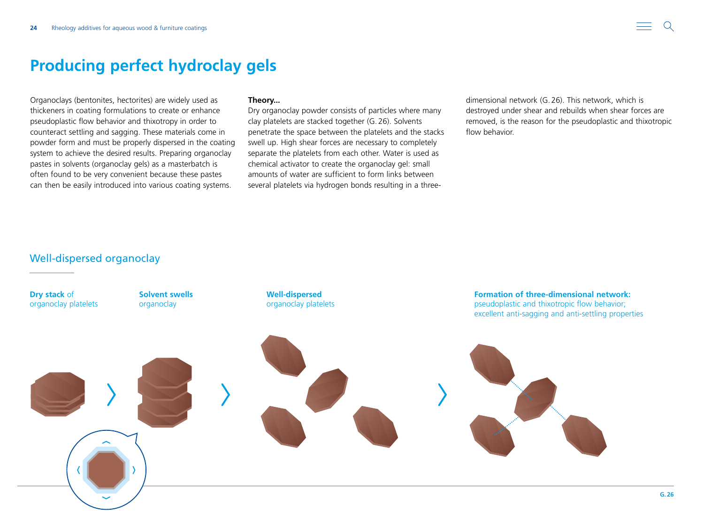## <span id="page-23-0"></span>**Producing perfect hydroclay gels**

Organoclays (bentonites, hectorites) are widely used as thickeners in coating formulations to create or enhance pseudoplastic flow behavior and thixotropy in order to counteract settling and sagging. These materials come in powder form and must be properly dispersed in the coating system to achieve the desired results. Preparing organoclay pastes in solvents (organoclay gels) as a masterbatch is often found to be very convenient because these pastes can then be easily introduced into various coating systems.

### **Theory...**

Dry organoclay powder consists of particles where many clay platelets are stacked together (G.26). Solvents penetrate the space between the platelets and the stacks swell up. High shear forces are necessary to completely separate the platelets from each other. Water is used as chemical activator to create the organoclay gel: small amounts of water are sufficient to form links between several platelets via hydrogen bonds resulting in a threedimensional network (G.26). This network, which is destroyed under shear and rebuilds when shear forces are removed, is the reason for the pseudoplastic and thixotropic flow behavior.

## Well-dispersed organoclay

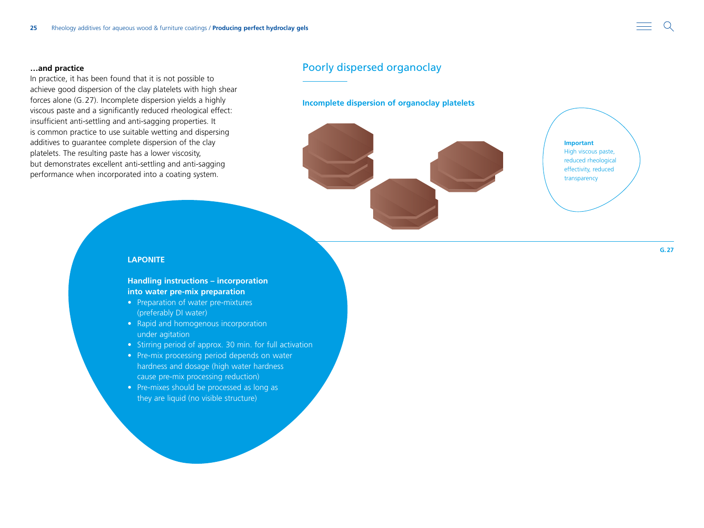### **…and practice**

In practice, it has been found that it is not possible to achieve good dispersion of the clay platelets with high shear forces alone (G.27). Incomplete dispersion yields a highly viscous paste and a significantly reduced rheological effect: insufficient anti-settling and anti-sagging properties. It is common practice to use suitable wetting and dispersing additives to guarantee complete dispersion of the clay platelets. The resulting paste has a lower viscosity, but demonstrates excellent anti-settling and anti-sagging performance when incorporated into a coating system.

### Poorly dispersed organoclay

#### **Incomplete dispersion of organoclay platelets**



**Important** High viscous paste, reduced rheological effectivity, reduced transparency

#### **LAPONITE**

### **Handling instructions – incorporation into water pre-mix preparation**

- Preparation of water pre-mixtures (preferably DI water)
- Rapid and homogenous incorporation under agitation
- Stirring period of approx. 30 min. for full activation
- Pre-mix processing period depends on water hardness and dosage (high water hardness cause pre-mix processing reduction)
- Pre-mixes should be processed as long as they are liquid (no visible structure)